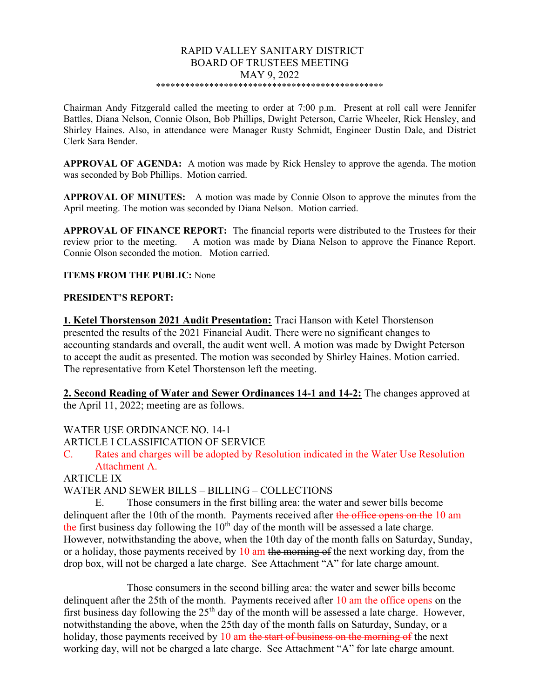#### RAPID VALLEY SANITARY DISTRICT BOARD OF TRUSTEES MEETING MAY 9, 2022 \*\*\*\*\*\*\*\*\*\*\*\*\*\*\*\*\*\*\*\*\*\*\*\*\*\*\*\*\*\*\*\*\*\*\*\*\*\*\*\*\*\*\*\*\*\*\*

Chairman Andy Fitzgerald called the meeting to order at 7:00 p.m. Present at roll call were Jennifer Battles, Diana Nelson, Connie Olson, Bob Phillips, Dwight Peterson, Carrie Wheeler, Rick Hensley, and Shirley Haines. Also, in attendance were Manager Rusty Schmidt, Engineer Dustin Dale, and District Clerk Sara Bender.

APPROVAL OF AGENDA: A motion was made by Rick Hensley to approve the agenda. The motion was seconded by Bob Phillips. Motion carried.

APPROVAL OF MINUTES: A motion was made by Connie Olson to approve the minutes from the April meeting. The motion was seconded by Diana Nelson. Motion carried.

APPROVAL OF FINANCE REPORT: The financial reports were distributed to the Trustees for their review prior to the meeting. A motion was made by Diana Nelson to approve the Finance Report. Connie Olson seconded the motion. Motion carried.

#### ITEMS FROM THE PUBLIC: None

### PRESIDENT'S REPORT:

1. Ketel Thorstenson 2021 Audit Presentation: Traci Hanson with Ketel Thorstenson presented the results of the 2021 Financial Audit. There were no significant changes to accounting standards and overall, the audit went well. A motion was made by Dwight Peterson to accept the audit as presented. The motion was seconded by Shirley Haines. Motion carried. The representative from Ketel Thorstenson left the meeting.

2. Second Reading of Water and Sewer Ordinances 14-1 and 14-2: The changes approved at the April 11, 2022; meeting are as follows.

WATER USE ORDINANCE NO. 14-1

ARTICLE I CLASSIFICATION OF SERVICE

C. Rates and charges will be adopted by Resolution indicated in the Water Use Resolution Attachment A.

ARTICLE IX

WATER AND SEWER BILLS – BILLING – COLLECTIONS

E. Those consumers in the first billing area: the water and sewer bills become delinquent after the 10th of the month. Payments received after the office opens on the 10 am the first business day following the  $10<sup>th</sup>$  day of the month will be assessed a late charge. However, notwithstanding the above, when the 10th day of the month falls on Saturday, Sunday, or a holiday, those payments received by  $10 \text{ am the morning of the next working day, from the}$ drop box, will not be charged a late charge. See Attachment "A" for late charge amount.

Those consumers in the second billing area: the water and sewer bills become delinquent after the 25th of the month. Payments received after 10 am the office opens on the first business day following the  $25<sup>th</sup>$  day of the month will be assessed a late charge. However, notwithstanding the above, when the 25th day of the month falls on Saturday, Sunday, or a holiday, those payments received by 10 am the start of business on the morning of the next working day, will not be charged a late charge. See Attachment "A" for late charge amount.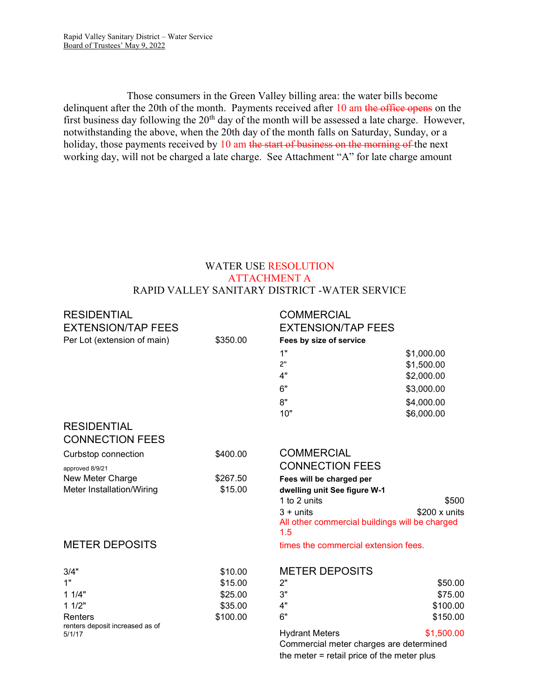Those consumers in the Green Valley billing area: the water bills become delinquent after the 20th of the month. Payments received after 10 am the office opens on the first business day following the 20th day of the month will be assessed a late charge. However, notwithstanding the above, when the 20th day of the month falls on Saturday, Sunday, or a holiday, those payments received by 10 am the start of business on the morning of the next working day, will not be charged a late charge. See Attachment "A" for late charge amount

# WATER USE RESOLUTION ATTACHMENT A RAPID VALLEY SANITARY DISTRICT -WATER SERVICE

| <b>RESIDENTIAL</b><br><b>EXTENSION/TAP FEES</b> |          | <b>COMMERCIAL</b><br><b>EXTENSION/TAP FEES</b>                                       |            |
|-------------------------------------------------|----------|--------------------------------------------------------------------------------------|------------|
| Per Lot (extension of main)                     | \$350.00 | Fees by size of service                                                              |            |
|                                                 |          | 1"                                                                                   | \$1,000.00 |
|                                                 |          | 2 <sup>0</sup>                                                                       | \$1,500.00 |
|                                                 |          | 4"                                                                                   | \$2,000.00 |
|                                                 |          | 6"                                                                                   | \$3,000.00 |
|                                                 |          | 8"                                                                                   | \$4,000.00 |
|                                                 |          | 10"                                                                                  | \$6,000.00 |
| <b>RESIDENTIAL</b>                              |          |                                                                                      |            |
| <b>CONNECTION FEES</b>                          |          |                                                                                      |            |
| Curbstop connection                             | \$400.00 | <b>COMMERCIAL</b>                                                                    |            |
| approved 8/9/21                                 |          | <b>CONNECTION FEES</b>                                                               |            |
| New Meter Charge                                | \$267.50 | Fees will be charged per                                                             |            |
| Meter Installation/Wiring                       | \$15.00  | dwelling unit See figure W-1                                                         |            |
|                                                 |          | 1 to 2 units                                                                         | \$500      |
|                                                 |          | $3 + units$<br>$$200 \times$ units<br>All other commercial buildings will be charged |            |
|                                                 |          | 1.5                                                                                  |            |
| <b>METER DEPOSITS</b>                           |          | times the commercial extension fees.                                                 |            |
| 3/4"                                            | \$10.00  | <b>METER DEPOSITS</b>                                                                |            |
| 1"                                              | \$15.00  | 2"                                                                                   | \$50.00    |
| 11/4"                                           | \$25.00  | 3"                                                                                   | \$75.00    |
| 11/2"                                           | \$35.00  | 4"                                                                                   | \$100.00   |
| Renters                                         | \$100.00 | 6"                                                                                   | \$150.00   |
| renters deposit increased as of<br>5/1/17       |          | <b>Hydrant Meters</b><br>Commercial meter charges are determined                     | \$1,500.00 |

the meter = retail price of the meter plus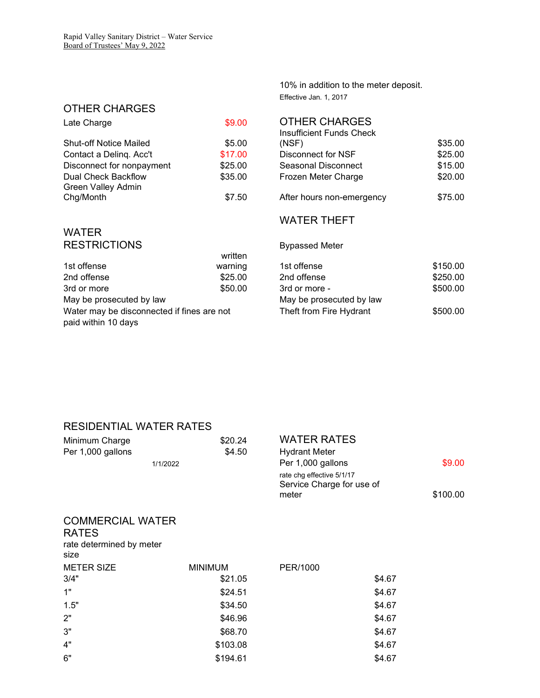# OTHER CHARGES

| Late Charge                                      | \$9.00  | <b>OTHER CHARGES</b><br>Insufficient Funds Check |
|--------------------------------------------------|---------|--------------------------------------------------|
| <b>Shut-off Notice Mailed</b>                    | \$5.00  | (NSF)                                            |
| Contact a Deling. Acc't                          | \$17.00 | Disconnect for NSF                               |
| Disconnect for nonpayment                        | \$25.00 | Seasonal Disconnect                              |
| Dual Check Backflow<br><b>Green Valley Admin</b> | \$35.00 | Frozen Meter Charge                              |
| Chg/Month                                        | \$7.50  | After hours non-emerge                           |

# 10% in addition to the meter deposit. Effective Jan. 1, 2017

|                                           | Insufficient Funds Check |                           |         |
|-------------------------------------------|--------------------------|---------------------------|---------|
| <b>Shut-off Notice Mailed</b>             | \$5.00                   | (NSF)                     | \$35.00 |
| Contact a Deling. Acc't                   | \$17.00                  | Disconnect for NSF        | \$25.00 |
| Disconnect for nonpayment                 | \$25.00                  | Seasonal Disconnect       | \$15.00 |
| Dual Check Backflow<br>Green Valley Admin | \$35.00                  | Frozen Meter Charge       | \$20.00 |
| Chg/Month                                 | \$7.50                   | After hours non-emergency | \$75.00 |

# WATER RESTRICTIONS Bypassed Meter

|                                            | written |                          |
|--------------------------------------------|---------|--------------------------|
| 1st offense                                | warning | 1st offense              |
| 2nd offense                                | \$25.00 | 2nd offense              |
| 3rd or more                                | \$50.00 | 3rd or more -            |
| May be prosecuted by law                   |         | May be prosecuted by law |
| Water may be disconnected if fines are not |         | Theft from Fire Hydrant  |
| paid within 10 days                        |         |                          |

# WATER THEFT

| 1st offense                                | warning | 1st offense              | \$150.00 |
|--------------------------------------------|---------|--------------------------|----------|
| 2nd offense                                | \$25.00 | 2nd offense              | \$250.00 |
| 3rd or more                                | \$50.00 | 3rd or more -            | \$500.00 |
| May be prosecuted by law                   |         | May be prosecuted by law |          |
| Water may be disconnected if fines are not |         | Theft from Fire Hydrant  | \$500.00 |

# RESIDENTIAL WATER RATES

| Minimum Charge<br>Per 1,000 gallons<br>1/1/2022  | \$20.24<br>\$4.50 | <b>WATER RATES</b><br><b>Hydrant Meter</b><br>Per 1,000 gallons<br>rate chg effective 5/1/17<br>Service Charge for use of<br>meter | \$9.00<br>\$100.00 |
|--------------------------------------------------|-------------------|------------------------------------------------------------------------------------------------------------------------------------|--------------------|
| <b>COMMERCIAL WATER</b>                          |                   |                                                                                                                                    |                    |
| <b>RATES</b><br>rate determined by meter<br>size |                   |                                                                                                                                    |                    |
| <b>METER SIZE</b>                                | <b>MINIMUM</b>    | PER/1000                                                                                                                           |                    |
| 3/4"                                             | \$21.05           | \$4.67                                                                                                                             |                    |
| 1"                                               | \$24.51           | \$4.67                                                                                                                             |                    |
| 1.5"                                             | \$34.50           | \$4.67                                                                                                                             |                    |
| 2"                                               | \$46.96           | \$4.67                                                                                                                             |                    |
| 3"                                               | \$68.70           | \$4.67                                                                                                                             |                    |
| 4"                                               | \$103.08          | \$4.67                                                                                                                             |                    |
| 6"                                               | \$194.61          | \$4.67                                                                                                                             |                    |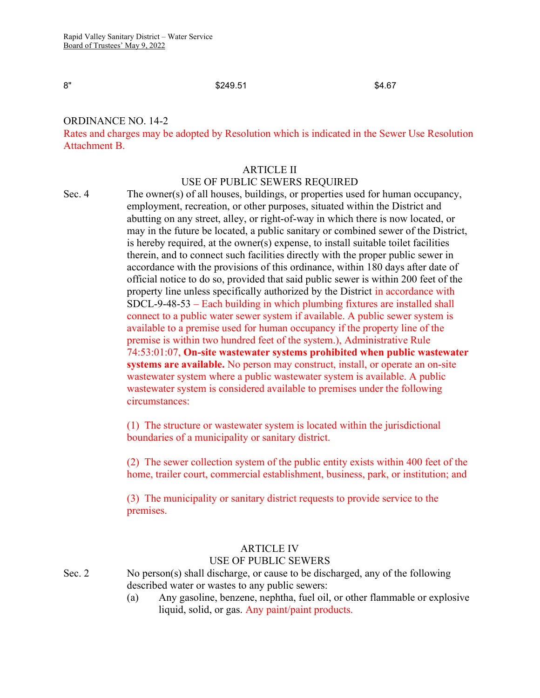#### $8''$   $$249.51$   $$4.67$

# ORDINANCE NO. 14-2

Rates and charges may be adopted by Resolution which is indicated in the Sewer Use Resolution Attachment B.

## ARTICLE II USE OF PUBLIC SEWERS REQUIRED

Sec. 4 The owner(s) of all houses, buildings, or properties used for human occupancy, employment, recreation, or other purposes, situated within the District and abutting on any street, alley, or right-of-way in which there is now located, or may in the future be located, a public sanitary or combined sewer of the District, is hereby required, at the owner(s) expense, to install suitable toilet facilities therein, and to connect such facilities directly with the proper public sewer in accordance with the provisions of this ordinance, within 180 days after date of official notice to do so, provided that said public sewer is within 200 feet of the property line unless specifically authorized by the District in accordance with SDCL-9-48-53 – Each building in which plumbing fixtures are installed shall connect to a public water sewer system if available. A public sewer system is available to a premise used for human occupancy if the property line of the premise is within two hundred feet of the system.), Administrative Rule 74:53:01:07, On-site wastewater systems prohibited when public wastewater systems are available. No person may construct, install, or operate an on-site wastewater system where a public wastewater system is available. A public wastewater system is considered available to premises under the following circumstances:

> (1) The structure or wastewater system is located within the jurisdictional boundaries of a municipality or sanitary district.

(2) The sewer collection system of the public entity exists within 400 feet of the home, trailer court, commercial establishment, business, park, or institution; and

(3) The municipality or sanitary district requests to provide service to the premises.

# ARTICLE IV

#### USE OF PUBLIC SEWERS

Sec. 2 No person(s) shall discharge, or cause to be discharged, any of the following described water or wastes to any public sewers:

> (a) Any gasoline, benzene, nephtha, fuel oil, or other flammable or explosive liquid, solid, or gas. Any paint/paint products.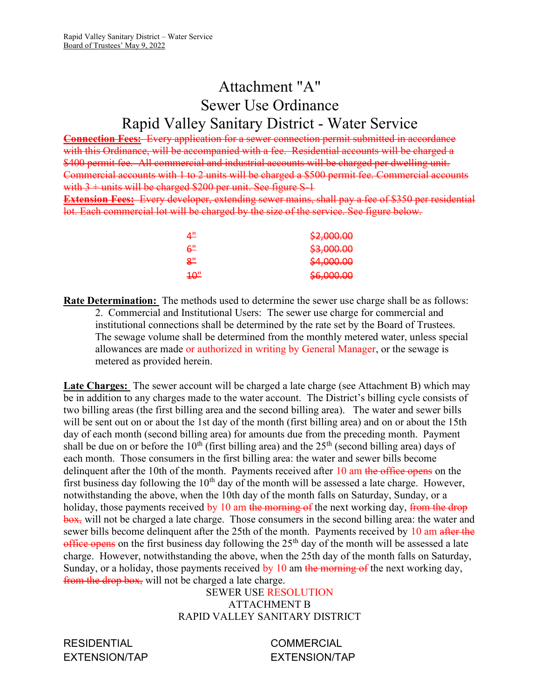# Attachment "A" Sewer Use Ordinance Rapid Valley Sanitary District - Water Service

Connection Fees: Every application for a sewer connection permit submitted in accordance with this Ordinance, will be accompanied with a fee. Residential accounts will be charged a \$400 permit fee. All commercial and industrial accounts will be charged per dwelling unit. Commercial accounts with 1 to 2 units will be charged a \$500 permit fee. Commercial accounts with  $3 +$  units will be charged \$200 per unit. See figure S-1

Extension Fees: Every developer, extending sewer mains, shall pay a fee of \$350 per residential lot. Each commercial lot will be charged by the size of the service. See figure below.

| <u>4"</u> | \$2,000.00 |
|-----------|------------|
| ്ക        | \$3,000.00 |
| <u>ڀم</u> | \$4,000.00 |
| 40"       | \$6,000.00 |

Rate Determination: The methods used to determine the sewer use charge shall be as follows: 2. Commercial and Institutional Users: The sewer use charge for commercial and institutional connections shall be determined by the rate set by the Board of Trustees. The sewage volume shall be determined from the monthly metered water, unless special allowances are made or authorized in writing by General Manager, or the sewage is metered as provided herein.

**Late Charges:** The sewer account will be charged a late charge (see Attachment B) which may be in addition to any charges made to the water account. The District's billing cycle consists of two billing areas (the first billing area and the second billing area). The water and sewer bills will be sent out on or about the 1st day of the month (first billing area) and on or about the 15th day of each month (second billing area) for amounts due from the preceding month. Payment shall be due on or before the  $10<sup>th</sup>$  (first billing area) and the  $25<sup>th</sup>$  (second billing area) days of each month. Those consumers in the first billing area: the water and sewer bills become delinquent after the 10th of the month. Payments received after 10 am the office opens on the first business day following the  $10<sup>th</sup>$  day of the month will be assessed a late charge. However, notwithstanding the above, when the 10th day of the month falls on Saturday, Sunday, or a holiday, those payments received by 10 am the morning of the next working day, from the drop box, will not be charged a late charge. Those consumers in the second billing area: the water and sewer bills become delinquent after the 25th of the month. Payments received by 10 am after the office opens on the first business day following the  $25<sup>th</sup>$  day of the month will be assessed a late charge. However, notwithstanding the above, when the 25th day of the month falls on Saturday, Sunday, or a holiday, those payments received by  $10$  am the morning of the next working day, from the drop box, will not be charged a late charge.

SEWER USE RESOLUTION ATTACHMENT B RAPID VALLEY SANITARY DISTRICT

RESIDENTIAL COMMERCIAL

EXTENSION/TAP EXTENSION/TAP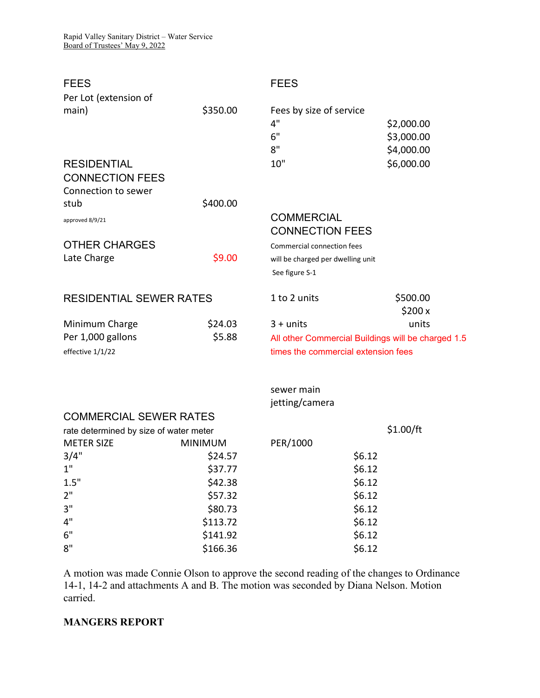| <b>FEES</b>                            |                                             | <b>FEES</b>                                        |            |
|----------------------------------------|---------------------------------------------|----------------------------------------------------|------------|
| Per Lot (extension of                  |                                             |                                                    |            |
| main)                                  | \$350.00                                    | Fees by size of service                            |            |
|                                        |                                             | 4"                                                 | \$2,000.00 |
|                                        |                                             | 6"                                                 | \$3,000.00 |
|                                        |                                             | 8"                                                 | \$4,000.00 |
| <b>RESIDENTIAL</b>                     |                                             | 10"                                                | \$6,000.00 |
| <b>CONNECTION FEES</b>                 |                                             |                                                    |            |
| Connection to sewer                    |                                             |                                                    |            |
| stub                                   | \$400.00                                    |                                                    |            |
| approved 8/9/21                        |                                             | <b>COMMERCIAL</b>                                  |            |
|                                        |                                             | <b>CONNECTION FEES</b>                             |            |
| <b>OTHER CHARGES</b>                   |                                             | Commercial connection fees                         |            |
| Late Charge                            | \$9.00<br>will be charged per dwelling unit |                                                    |            |
|                                        |                                             | See figure S-1                                     |            |
|                                        |                                             |                                                    |            |
| <b>RESIDENTIAL SEWER RATES</b>         |                                             | 1 to 2 units                                       | \$500.00   |
|                                        |                                             |                                                    | \$200x     |
| Minimum Charge                         | \$24.03                                     | $3 + units$                                        | units      |
| Per 1,000 gallons                      | \$5.88                                      | All other Commercial Buildings will be charged 1.5 |            |
| effective 1/1/22                       |                                             | times the commercial extension fees                |            |
|                                        |                                             |                                                    |            |
|                                        |                                             | sewer main                                         |            |
|                                        |                                             | jetting/camera                                     |            |
| <b>COMMERCIAL SEWER RATES</b>          |                                             |                                                    |            |
| rate determined by size of water meter |                                             |                                                    | \$1.00/ft  |
| <b>METER SIZE</b>                      | <b>MINIMUM</b>                              | PER/1000                                           |            |
| 3/4"                                   | \$24.57                                     | \$6.12                                             |            |
| 1"                                     | \$37.77                                     | \$6.12                                             |            |
| 1.5"                                   | \$42.38                                     | \$6.12                                             |            |
| 2 <sup>''</sup>                        | \$57.32                                     | \$6.12                                             |            |
| 3"                                     | \$80.73                                     | \$6.12                                             |            |
| 4"                                     |                                             |                                                    |            |
|                                        | \$113.72                                    | \$6.12                                             |            |
| 6"<br>8"                               | \$141.92<br>\$166.36                        | \$6.12<br>\$6.12                                   |            |

A motion was made Connie Olson to approve the second reading of the changes to Ordinance 14-1, 14-2 and attachments A and B. The motion was seconded by Diana Nelson. Motion carried.

# MANGERS REPORT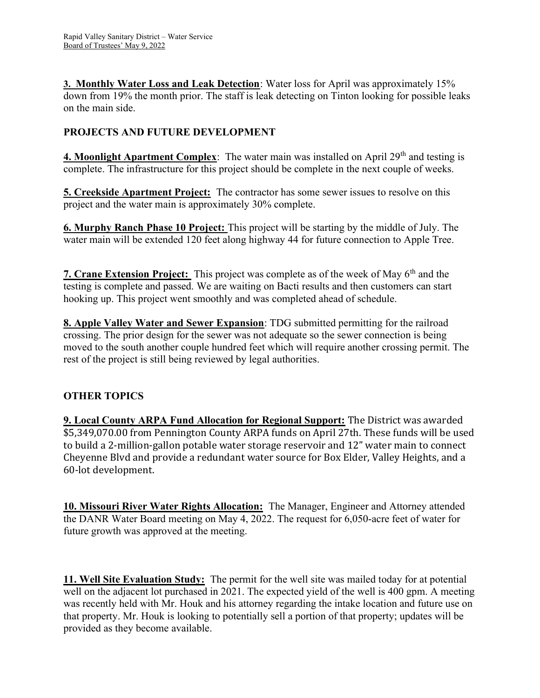3. Monthly Water Loss and Leak Detection: Water loss for April was approximately 15% down from 19% the month prior. The staff is leak detecting on Tinton looking for possible leaks on the main side.

# PROJECTS AND FUTURE DEVELOPMENT

4. Moonlight Apartment Complex: The water main was installed on April 29<sup>th</sup> and testing is complete. The infrastructure for this project should be complete in the next couple of weeks.

**5. Creekside Apartment Project:** The contractor has some sewer issues to resolve on this project and the water main is approximately 30% complete.

6. Murphy Ranch Phase 10 Project: This project will be starting by the middle of July. The water main will be extended 120 feet along highway 44 for future connection to Apple Tree.

7. Crane Extension Project: This project was complete as of the week of May 6<sup>th</sup> and the testing is complete and passed. We are waiting on Bacti results and then customers can start hooking up. This project went smoothly and was completed ahead of schedule.

8. Apple Valley Water and Sewer Expansion: TDG submitted permitting for the railroad crossing. The prior design for the sewer was not adequate so the sewer connection is being moved to the south another couple hundred feet which will require another crossing permit. The rest of the project is still being reviewed by legal authorities.

# OTHER TOPICS

9. Local County ARPA Fund Allocation for Regional Support: The District was awarded \$5,349,070.00 from Pennington County ARPA funds on April 27th. These funds will be used to build a 2-million-gallon potable water storage reservoir and 12" water main to connect Cheyenne Blvd and provide a redundant water source for Box Elder, Valley Heights, and a 60-lot development.

10. Missouri River Water Rights Allocation: The Manager, Engineer and Attorney attended the DANR Water Board meeting on May 4, 2022. The request for 6,050-acre feet of water for future growth was approved at the meeting.

11. Well Site Evaluation Study: The permit for the well site was mailed today for at potential well on the adjacent lot purchased in 2021. The expected yield of the well is 400 gpm. A meeting was recently held with Mr. Houk and his attorney regarding the intake location and future use on that property. Mr. Houk is looking to potentially sell a portion of that property; updates will be provided as they become available.